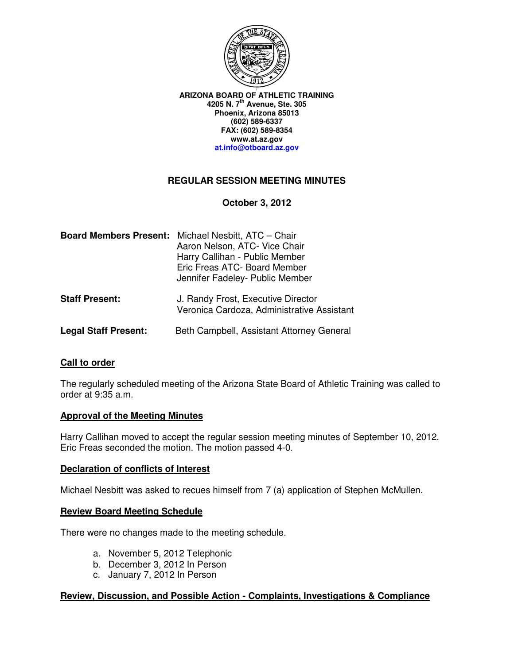

**ARIZONA BOARD OF ATHLETIC TRAINING 4205 N. 7th Avenue, Ste. 305 Phoenix, Arizona 85013 (602) 589-6337 FAX: (602) 589-8354 www.at.az.gov at.info@otboard.az.gov**

## **REGULAR SESSION MEETING MINUTES**

**October 3, 2012** 

| <b>Board Members Present:</b> | Michael Nesbitt, ATC - Chair<br>Aaron Nelson, ATC- Vice Chair<br>Harry Callihan - Public Member<br>Eric Freas ATC- Board Member<br>Jennifer Fadeley- Public Member |
|-------------------------------|--------------------------------------------------------------------------------------------------------------------------------------------------------------------|
| <b>Staff Present:</b>         | J. Randy Frost, Executive Director<br>Veronica Cardoza, Administrative Assistant                                                                                   |
| <b>Legal Staff Present:</b>   | Beth Campbell, Assistant Attorney General                                                                                                                          |

## **Call to order**

The regularly scheduled meeting of the Arizona State Board of Athletic Training was called to order at 9:35 a.m.

#### **Approval of the Meeting Minutes**

Harry Callihan moved to accept the regular session meeting minutes of September 10, 2012. Eric Freas seconded the motion. The motion passed 4-0.

#### **Declaration of conflicts of Interest**

Michael Nesbitt was asked to recues himself from 7 (a) application of Stephen McMullen.

#### **Review Board Meeting Schedule**

There were no changes made to the meeting schedule.

- a. November 5, 2012 Telephonic
- b. December 3, 2012 In Person
- c. January 7, 2012 In Person

#### **Review, Discussion, and Possible Action - Complaints, Investigations & Compliance**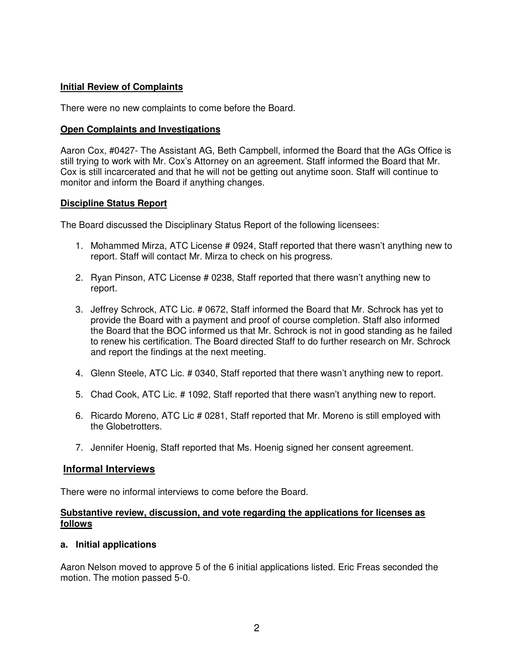# **Initial Review of Complaints**

There were no new complaints to come before the Board.

#### **Open Complaints and Investigations**

Aaron Cox, #0427- The Assistant AG, Beth Campbell, informed the Board that the AGs Office is still trying to work with Mr. Cox's Attorney on an agreement. Staff informed the Board that Mr. Cox is still incarcerated and that he will not be getting out anytime soon. Staff will continue to monitor and inform the Board if anything changes.

## **Discipline Status Report**

The Board discussed the Disciplinary Status Report of the following licensees:

- 1. Mohammed Mirza, ATC License # 0924, Staff reported that there wasn't anything new to report. Staff will contact Mr. Mirza to check on his progress.
- 2. Ryan Pinson, ATC License # 0238, Staff reported that there wasn't anything new to report.
- 3. Jeffrey Schrock, ATC Lic. # 0672, Staff informed the Board that Mr. Schrock has yet to provide the Board with a payment and proof of course completion. Staff also informed the Board that the BOC informed us that Mr. Schrock is not in good standing as he failed to renew his certification. The Board directed Staff to do further research on Mr. Schrock and report the findings at the next meeting.
- 4. Glenn Steele, ATC Lic. # 0340, Staff reported that there wasn't anything new to report.
- 5. Chad Cook, ATC Lic. # 1092, Staff reported that there wasn't anything new to report.
- 6. Ricardo Moreno, ATC Lic # 0281, Staff reported that Mr. Moreno is still employed with the Globetrotters.
- 7. Jennifer Hoenig, Staff reported that Ms. Hoenig signed her consent agreement.

## **Informal Interviews**

There were no informal interviews to come before the Board.

#### **Substantive review, discussion, and vote regarding the applications for licenses as follows**

## **a. Initial applications**

Aaron Nelson moved to approve 5 of the 6 initial applications listed. Eric Freas seconded the motion. The motion passed 5-0.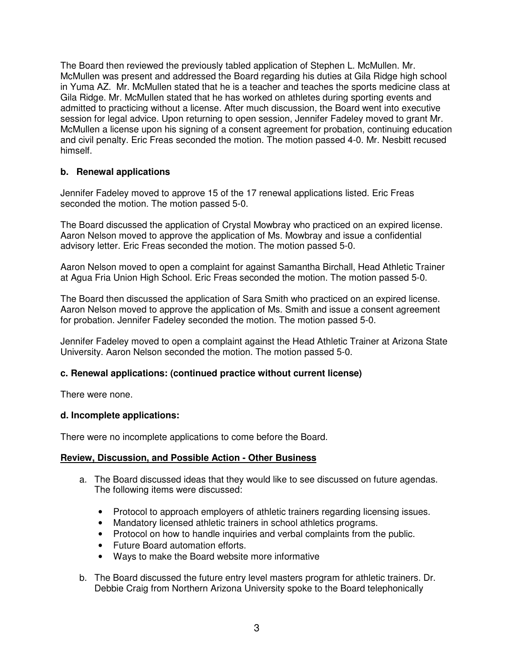The Board then reviewed the previously tabled application of Stephen L. McMullen. Mr. McMullen was present and addressed the Board regarding his duties at Gila Ridge high school in Yuma AZ. Mr. McMullen stated that he is a teacher and teaches the sports medicine class at Gila Ridge. Mr. McMullen stated that he has worked on athletes during sporting events and admitted to practicing without a license. After much discussion, the Board went into executive session for legal advice. Upon returning to open session, Jennifer Fadeley moved to grant Mr. McMullen a license upon his signing of a consent agreement for probation, continuing education and civil penalty. Eric Freas seconded the motion. The motion passed 4-0. Mr. Nesbitt recused himself.

# **b. Renewal applications**

Jennifer Fadeley moved to approve 15 of the 17 renewal applications listed. Eric Freas seconded the motion. The motion passed 5-0.

The Board discussed the application of Crystal Mowbray who practiced on an expired license. Aaron Nelson moved to approve the application of Ms. Mowbray and issue a confidential advisory letter. Eric Freas seconded the motion. The motion passed 5-0.

Aaron Nelson moved to open a complaint for against Samantha Birchall, Head Athletic Trainer at Agua Fria Union High School. Eric Freas seconded the motion. The motion passed 5-0.

The Board then discussed the application of Sara Smith who practiced on an expired license. Aaron Nelson moved to approve the application of Ms. Smith and issue a consent agreement for probation. Jennifer Fadeley seconded the motion. The motion passed 5-0.

Jennifer Fadeley moved to open a complaint against the Head Athletic Trainer at Arizona State University. Aaron Nelson seconded the motion. The motion passed 5-0.

## **c. Renewal applications: (continued practice without current license)**

There were none.

#### **d. Incomplete applications:**

There were no incomplete applications to come before the Board.

#### **Review, Discussion, and Possible Action - Other Business**

- a. The Board discussed ideas that they would like to see discussed on future agendas. The following items were discussed:
	- Protocol to approach employers of athletic trainers regarding licensing issues.
	- Mandatory licensed athletic trainers in school athletics programs.
	- Protocol on how to handle inquiries and verbal complaints from the public.
	- Future Board automation efforts.
	- Ways to make the Board website more informative
- b. The Board discussed the future entry level masters program for athletic trainers. Dr. Debbie Craig from Northern Arizona University spoke to the Board telephonically